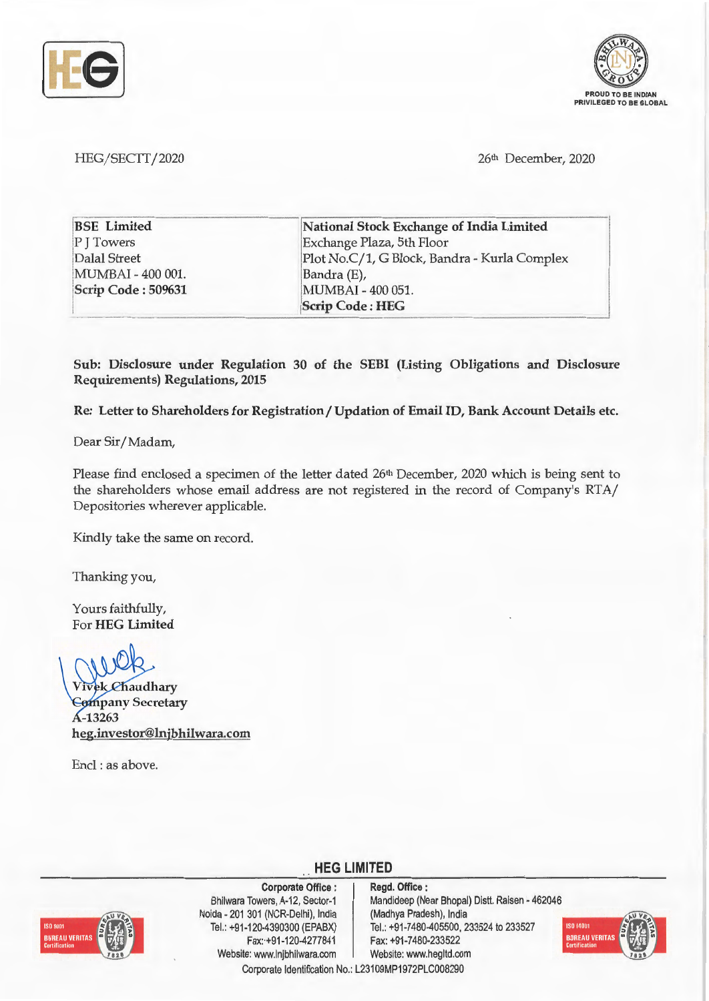



HEG/SECTT/2020 26<sup>th</sup> December, 2020

| <b>BSE</b> Limited | National Stock Exchange of India Limited     |
|--------------------|----------------------------------------------|
| P J Towers         | Exchange Plaza, 5th Floor                    |
| Dalal Street       | Plot No.C/1, G Block, Bandra - Kurla Complex |
| MUMBAI - 400 001.  | Bandra (E),                                  |
| Scrip Code: 509631 | MUMBAI - 400 051.                            |
|                    | <b>Scrip Code: HEG</b>                       |

**Sub: Disclosure under Regulation 30 of the SEBI (Listing Obligations and Disclosure Requirements) Regulations, 2015** 

**Re: Letter to Shareholders for Registration/ Updation of Email ID, Bank Account Details etc.** 

Dear Sir/ Madam,

Please find enclosed a specimen of the letter dated 26<sup>th</sup> December, 2020 which is being sent to the shareholders whose email address are not registered in the record of Company's RTA/ Depositories wherever applicable.

Kindly take the same on record.

Thanking you,

Yours faithfully, For **HEG Limited** 

**Vivek** Chaudhary *<u>Company Secretary</u>* A-13263 **heg.investor@lnjbhilwara.com** 

Encl : as above.



**Corporate Office** : Bhilwara Towers, A-12, Sector-1 Noida - 201 301 (NCR-Delhi), India Tel.: +91 -120-4390300 (EPABX) Fax:+91-120-4277841 Website: www.lnjbhilwara.com | Website: www.hegltd.com

**Regd. Office** : Mandideep (Near Bhopal) Distt. Raisen - 462046 (Madhya Pradesh), India Tel.: +91-7480-405500, 233524 to 233527 Fax: +91-7480-233522



Corporate Identification No.: L23109MP1972PLC008290

**HEG LIMITED**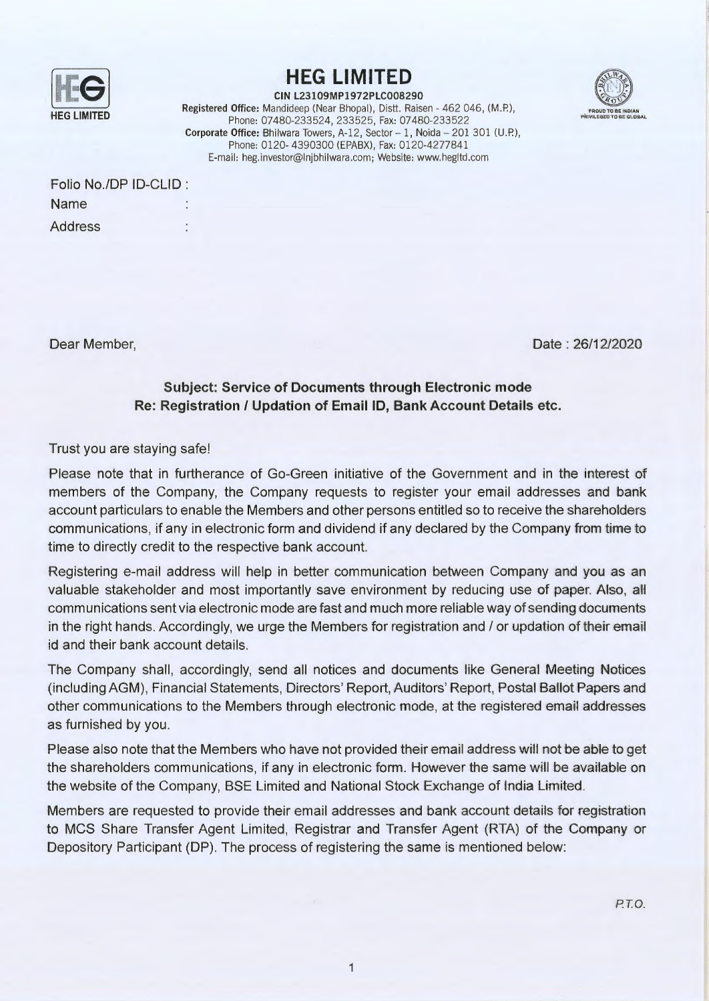

## **HEG LIMITED**



**CIN L23109MP1972PLC008290**  Registered Office: Mandideep (Near Bhopal), Distt. Raisen - 462 046, (M.P.), Phone: 07480-233524, 233525, Fax: 07480-233522 **Corporate Office: Bhilwara Towers, A-12, Sector - 1, Noida - 201 301 (U.P.),** Phone: 0120- 4390300 (EPABX), Fax: 0120-4277841 E-mail: heg. investor@lnjbhilwara.com; Website: www.hegltd .com

| Folio No./DP ID-CLID: |  |
|-----------------------|--|
| Name                  |  |
| <b>Address</b>        |  |

Dear Member,

Date : 26/12/2020

## **Subject: Service of Documents through Electronic mode Re: Registration** / **Updation of Email ID, Bank Account Details etc.**

## Trust you are staying safe!

Please note that in furtherance of Go-Green initiative of the Government and in the interest of members of the Company, the Company requests to register your email addresses and bank account particulars to enable the Members and other persons entitled so to receive the shareholders communications, if any in electronic form and dividend if any declared by the Company from time to time to directly credit to the respective bank account.

Registering e-mail address will help in better communication between Company and you as an valuable stakeholder and most importantly save environment by reducing use of paper. Also, all communications sent via electronic mode are fast and much more reliable way of sending documents in the right hands. Accordingly, we urge the Members for registration and / or updation of their email id and their bank account details.

The Company shall, accordingly, send all notices and documents like General Meeting Notices (including AGM), Financial Statements, Directors' Report, Auditors' Report, Postal Ballot Papers and other communications to the Members through electronic mode, at the registered email addresses as furnished by you.

Please also note that the Members who have not provided their email address will not be able to get the shareholders communications, if any in electronic form. However the same will be available on the website of the Company, BSE Limited and National Stock Exchange of India Limited.

Members are requested to provide their email addresses and bank account details for registration to MCS Share Transfer Agent Limited, Registrar and Transfer Agent (RTA) of the Company or Depository Participant (DP). The process of registering the same is mentioned below: